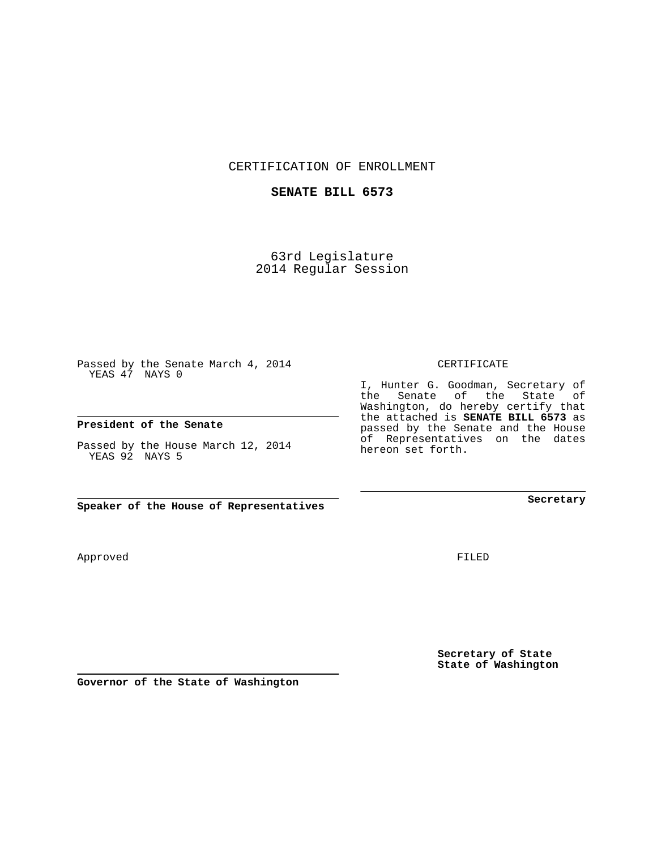CERTIFICATION OF ENROLLMENT

## **SENATE BILL 6573**

63rd Legislature 2014 Regular Session

Passed by the Senate March 4, 2014 YEAS 47 NAYS 0

## **President of the Senate**

Passed by the House March 12, 2014 YEAS 92 NAYS 5

**Speaker of the House of Representatives**

Approved

FILED

**Secretary of State State of Washington**

**Secretary**

CERTIFICATE

I, Hunter G. Goodman, Secretary of the Senate of the State of Washington, do hereby certify that the attached is **SENATE BILL 6573** as passed by the Senate and the House of Representatives on the dates hereon set forth.

**Governor of the State of Washington**